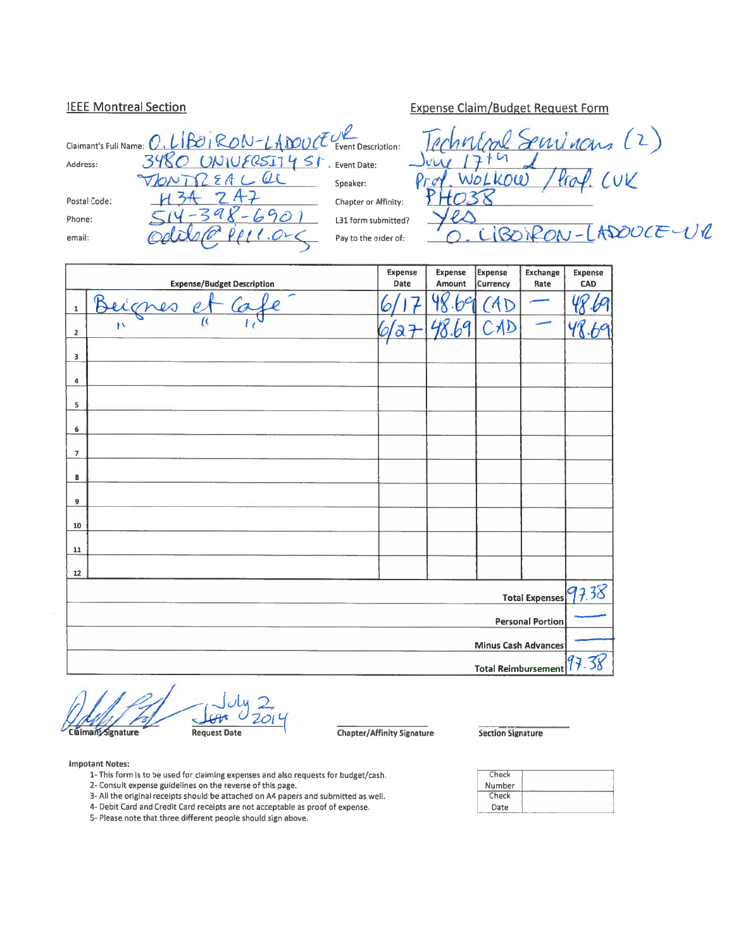### **IEEE Montreal Section**

| Claimant's Full Name: $0.$ LIBOIRON-LADOUCE Event Description: |                                 |                      |
|----------------------------------------------------------------|---------------------------------|----------------------|
|                                                                |                                 |                      |
| Address:                                                       | 3480 UNIVERSITY ST. Event Date: |                      |
|                                                                | VIONTREALOC                     | Speaker:             |
| Postal Code:                                                   |                                 | Chapter or Affinity: |
| Phone:                                                         | $-690$                          | L31 form submitted   |
| email:                                                         |                                 | Pay to the order of: |
|                                                                |                                 |                      |

Servinans (2)  $\mathfrak{a}$  $C\cup C$ WOLKOU)  $4a$ çþ ADOUCE-UR  $Rr$ 

**Expense Claim/Budget Request Form** 

|                         | <b>Expense/Budget Description</b> | <b>Expense</b><br>Date  | <b>Expense</b><br>Amount | <b>Expense</b><br>Currency | Exchange<br>Rate        | <b>Expense</b><br>CAD |
|-------------------------|-----------------------------------|-------------------------|--------------------------|----------------------------|-------------------------|-----------------------|
| ${\bf 1}$               | r<br>Beignes                      |                         | $\phi^{\mathcal{C}}$     | A <sub>D</sub>             |                         |                       |
| $\boldsymbol{2}$        | $\overline{\mu}$<br>١X            | $\partial \overline{d}$ | $b^a$                    | CAD                        |                         | 48                    |
| 3                       |                                   |                         |                          |                            |                         |                       |
| 4                       |                                   |                         |                          |                            |                         |                       |
| 5                       |                                   |                         |                          |                            |                         |                       |
| 6                       |                                   |                         |                          |                            |                         |                       |
| $\overline{\mathbf{z}}$ |                                   |                         |                          |                            |                         |                       |
| 8                       |                                   |                         |                          |                            |                         |                       |
| 9                       |                                   |                         |                          |                            |                         |                       |
| 10                      |                                   |                         |                          |                            |                         |                       |
| 11                      |                                   |                         |                          |                            |                         |                       |
| $\bf 12$                |                                   |                         |                          |                            |                         |                       |
|                         |                                   |                         |                          |                            | <b>Total Expenses</b>   | 97.38                 |
|                         |                                   |                         |                          |                            | <b>Personal Portion</b> |                       |
|                         |                                   |                         |                          | Minus Cash Advances        |                         |                       |
|                         |                                   |                         |                          | <b>Total Reimbursement</b> |                         | 97.38                 |

Claimant Signature

**Request Date** 

Chapter/Affinity Signature

**Section Signature** 

#### **Impotant Notes:**

- 1- This form is to be used for claiming expenses and also requests for budget/cash.
- 2- Consult expense guidelines on the reverse of this page.
- 3- All the original receipts should be attached on A4 papers and submitted as well. 4- Debit Card and Credit Card receipts are not acceptable as proof of expense.
- 5- Please note that three different people should sign above.
- 

| Check  |  |
|--------|--|
| Number |  |
| Check  |  |
| Date   |  |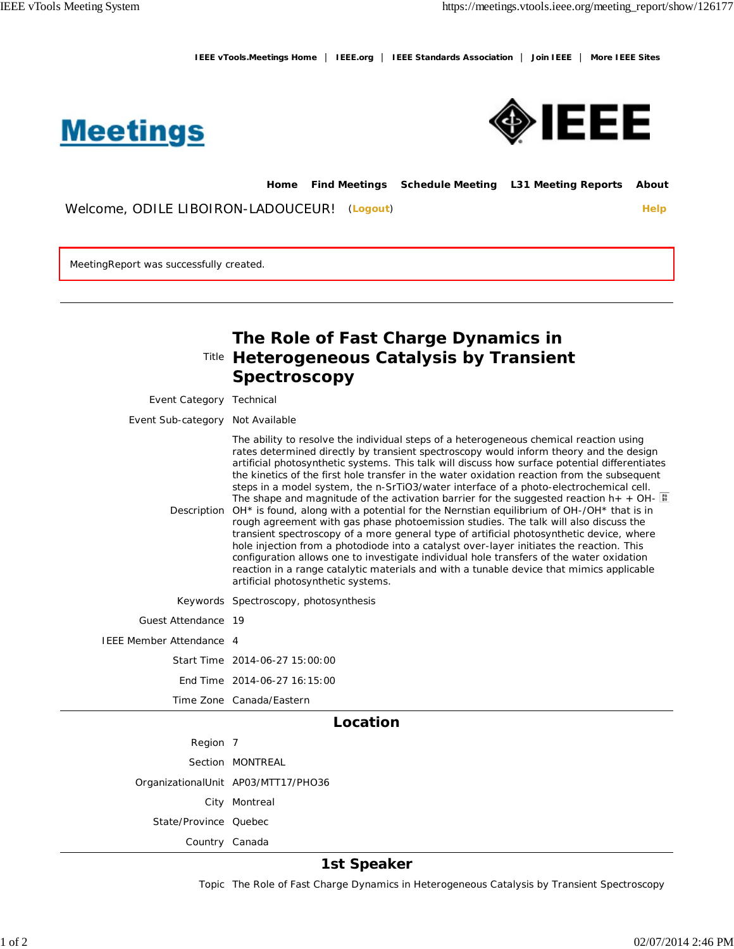**IEEE vTools.Meetings Home** | **IEEE.org** | **IEEE Standards Association** | **Join IEEE** | **More IEEE Sites**





**Home Find Meetings Schedule Meeting L31 Meeting Reports About**

Welcome, ODILE LIBOIRON-LADOUCEUR! (Logout) **Help** 

MeetingReport was successfully created.

|                                  | The Role of Fast Charge Dynamics in<br>Title Heterogeneous Catalysis by Transient<br>Spectroscopy                                                                                                                                                                                                                                                                                                                                                                                                                                                                                                                                                                                                                                                                                                                                                                                                                                                                                                                                                                                                                                                                                                  |
|----------------------------------|----------------------------------------------------------------------------------------------------------------------------------------------------------------------------------------------------------------------------------------------------------------------------------------------------------------------------------------------------------------------------------------------------------------------------------------------------------------------------------------------------------------------------------------------------------------------------------------------------------------------------------------------------------------------------------------------------------------------------------------------------------------------------------------------------------------------------------------------------------------------------------------------------------------------------------------------------------------------------------------------------------------------------------------------------------------------------------------------------------------------------------------------------------------------------------------------------|
| Event Category Technical         |                                                                                                                                                                                                                                                                                                                                                                                                                                                                                                                                                                                                                                                                                                                                                                                                                                                                                                                                                                                                                                                                                                                                                                                                    |
| Event Sub-category Not Available |                                                                                                                                                                                                                                                                                                                                                                                                                                                                                                                                                                                                                                                                                                                                                                                                                                                                                                                                                                                                                                                                                                                                                                                                    |
|                                  | The ability to resolve the individual steps of a heterogeneous chemical reaction using<br>rates determined directly by transient spectroscopy would inform theory and the design<br>artificial photosynthetic systems. This talk will discuss how surface potential differentiates<br>the kinetics of the first hole transfer in the water oxidation reaction from the subsequent<br>steps in a model system, the n-SrTiO3/water interface of a photo-electrochemical cell.<br>The shape and magnitude of the activation barrier for the suggested reaction $h_{+} + OH_{-}$<br>Description OH* is found, along with a potential for the Nernstian equilibrium of OH-/OH* that is in<br>rough agreement with gas phase photoemission studies. The talk will also discuss the<br>transient spectroscopy of a more general type of artificial photosynthetic device, where<br>hole injection from a photodiode into a catalyst over-layer initiates the reaction. This<br>configuration allows one to investigate individual hole transfers of the water oxidation<br>reaction in a range catalytic materials and with a tunable device that mimics applicable<br>artificial photosynthetic systems. |
|                                  | Keywords Spectroscopy, photosynthesis                                                                                                                                                                                                                                                                                                                                                                                                                                                                                                                                                                                                                                                                                                                                                                                                                                                                                                                                                                                                                                                                                                                                                              |
| Guest Attendance 19              |                                                                                                                                                                                                                                                                                                                                                                                                                                                                                                                                                                                                                                                                                                                                                                                                                                                                                                                                                                                                                                                                                                                                                                                                    |
| IEEE Member Attendance 4         |                                                                                                                                                                                                                                                                                                                                                                                                                                                                                                                                                                                                                                                                                                                                                                                                                                                                                                                                                                                                                                                                                                                                                                                                    |
|                                  | Start Time 2014-06-27 15:00:00                                                                                                                                                                                                                                                                                                                                                                                                                                                                                                                                                                                                                                                                                                                                                                                                                                                                                                                                                                                                                                                                                                                                                                     |
|                                  | End Time 2014-06-27 16:15:00                                                                                                                                                                                                                                                                                                                                                                                                                                                                                                                                                                                                                                                                                                                                                                                                                                                                                                                                                                                                                                                                                                                                                                       |
|                                  | Time Zone Canada/Eastern                                                                                                                                                                                                                                                                                                                                                                                                                                                                                                                                                                                                                                                                                                                                                                                                                                                                                                                                                                                                                                                                                                                                                                           |
|                                  | Location                                                                                                                                                                                                                                                                                                                                                                                                                                                                                                                                                                                                                                                                                                                                                                                                                                                                                                                                                                                                                                                                                                                                                                                           |
| Region 7                         |                                                                                                                                                                                                                                                                                                                                                                                                                                                                                                                                                                                                                                                                                                                                                                                                                                                                                                                                                                                                                                                                                                                                                                                                    |
|                                  | Section MONTREAL                                                                                                                                                                                                                                                                                                                                                                                                                                                                                                                                                                                                                                                                                                                                                                                                                                                                                                                                                                                                                                                                                                                                                                                   |
|                                  | OrganizationalUnit AP03/MTT17/PHO36                                                                                                                                                                                                                                                                                                                                                                                                                                                                                                                                                                                                                                                                                                                                                                                                                                                                                                                                                                                                                                                                                                                                                                |
|                                  | City Montreal                                                                                                                                                                                                                                                                                                                                                                                                                                                                                                                                                                                                                                                                                                                                                                                                                                                                                                                                                                                                                                                                                                                                                                                      |
| State/Province Quebec            |                                                                                                                                                                                                                                                                                                                                                                                                                                                                                                                                                                                                                                                                                                                                                                                                                                                                                                                                                                                                                                                                                                                                                                                                    |
| Country Canada                   |                                                                                                                                                                                                                                                                                                                                                                                                                                                                                                                                                                                                                                                                                                                                                                                                                                                                                                                                                                                                                                                                                                                                                                                                    |

### **1st Speaker**

Topic The Role of Fast Charge Dynamics in Heterogeneous Catalysis by Transient Spectroscopy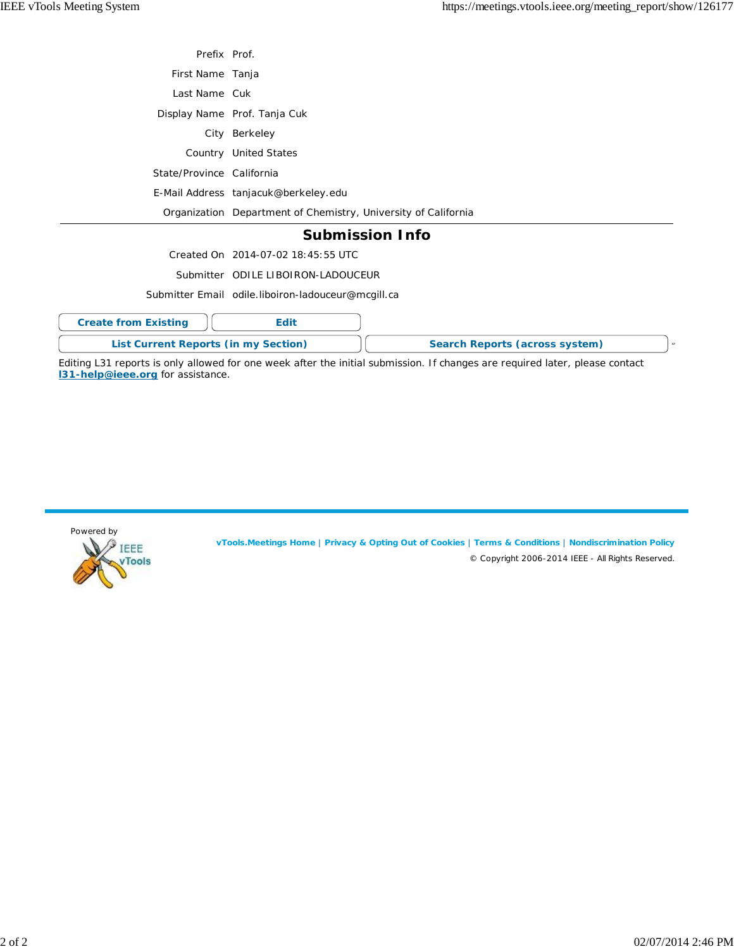| Prefix Prof.                                |                                                                |
|---------------------------------------------|----------------------------------------------------------------|
| First Name Tanja                            |                                                                |
| Last Name Cuk                               |                                                                |
|                                             | Display Name Prof. Tanja Cuk                                   |
|                                             | City Berkeley                                                  |
|                                             | Country United States                                          |
| State/Province California                   |                                                                |
|                                             | E-Mail Address tanjacuk@berkeley.edu                           |
|                                             | Organization Department of Chemistry, University of California |
|                                             | <b>Submission Info</b>                                         |
|                                             | Created On 2014-07-02 18:45:55 UTC                             |
|                                             | Submitter ODILE LIBOIRON-LADOUCEUR                             |
|                                             | Submitter Email odile.liboiron-ladouceur@mcgill.ca             |
| <b>Create from Existing</b>                 | Edit                                                           |
| <b>List Current Reports (in my Section)</b> | Search Reports (across system)<br>g.                           |

Editing L31 reports is only allowed for one week after the initial submission. If changes are required later, please contact **l31-help@ieee.org** for assistance.



**vTools.Meetings Home** | **Privacy & Opting Out of Cookies** | **Terms & Conditions** | **Nondiscrimination Policy** © Copyright 2006-2014 IEEE - All Rights Reserved.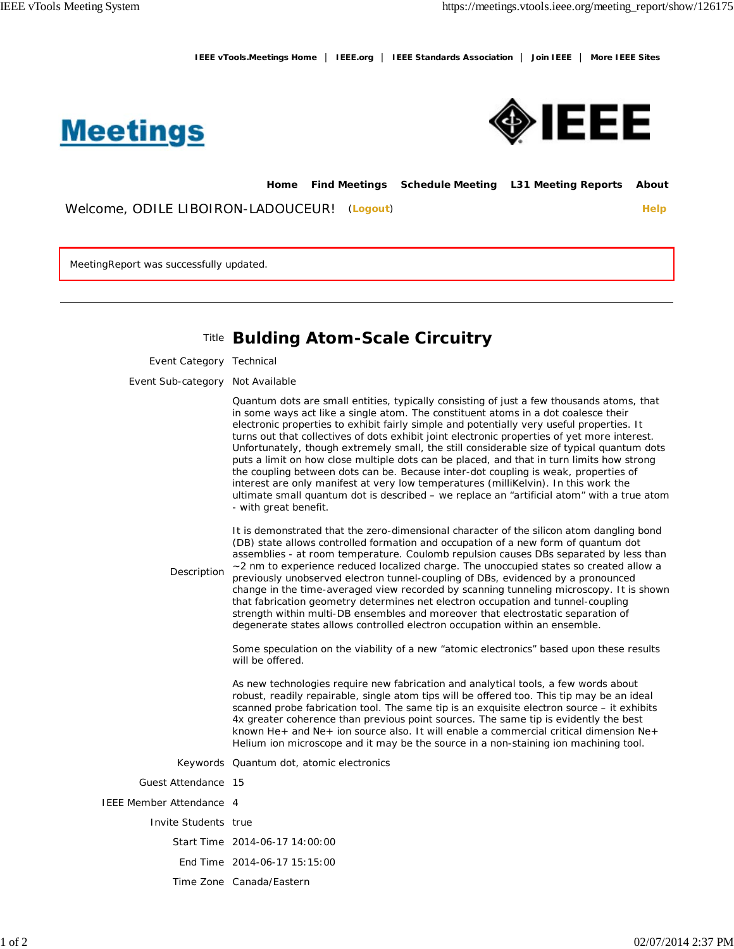**IEEE vTools.Meetings Home** | **IEEE.org** | **IEEE Standards Association** | **Join IEEE** | **More IEEE Sites**





**Home Find Meetings Schedule Meeting L31 Meeting Reports About**

Welcome, ODILE LIBOIRON-LADOUCEUR! (**Logout**) **Help**

MeetingReport was successfully updated.

# Title **Bulding Atom-Scale Circuitry**

Event Category Technical

Event Sub-category Not Available

Quantum dots are small entities, typically consisting of just a few thousands atoms, that in some ways act like a single atom. The constituent atoms in a dot coalesce their electronic properties to exhibit fairly simple and potentially very useful properties. It turns out that collectives of dots exhibit joint electronic properties of yet more interest. Unfortunately, though extremely small, the still considerable size of typical quantum dots puts a limit on how close multiple dots can be placed, and that in turn limits how strong the coupling between dots can be. Because inter-dot coupling is weak, properties of interest are only manifest at very low temperatures (milliKelvin). In this work the ultimate small quantum dot is described – we replace an "artificial atom" with a true atom - with great benefit.

It is demonstrated that the zero-dimensional character of the silicon atom dangling bond (DB) state allows controlled formation and occupation of a new form of quantum dot assemblies - at room temperature. Coulomb repulsion causes DBs separated by less than ~2 nm to experience reduced localized charge. The unoccupied states so created allow a previously unobserved electron tunnel-coupling of DBs, evidenced by a pronounced

**Description** 

change in the time-averaged view recorded by scanning tunneling microscopy. It is shown that fabrication geometry determines net electron occupation and tunnel-coupling strength within multi-DB ensembles and moreover that electrostatic separation of degenerate states allows controlled electron occupation within an ensemble.

Some speculation on the viability of a new "atomic electronics" based upon these results will be offered.

As new technologies require new fabrication and analytical tools, a few words about robust, readily repairable, single atom tips will be offered too. This tip may be an ideal scanned probe fabrication tool. The same tip is an exquisite electron source – it exhibits 4x greater coherence than previous point sources. The same tip is evidently the best known He+ and Ne+ ion source also. It will enable a commercial critical dimension Ne+ Helium ion microscope and it may be the source in a non-staining ion machining tool.

Keywords Quantum dot, atomic electronics

Guest Attendance 15

IEEE Member Attendance 4

Invite Students true

- Start Time 2014-06-17 14:00:00
- End Time 2014-06-17 15:15:00
- Time Zone Canada/Eastern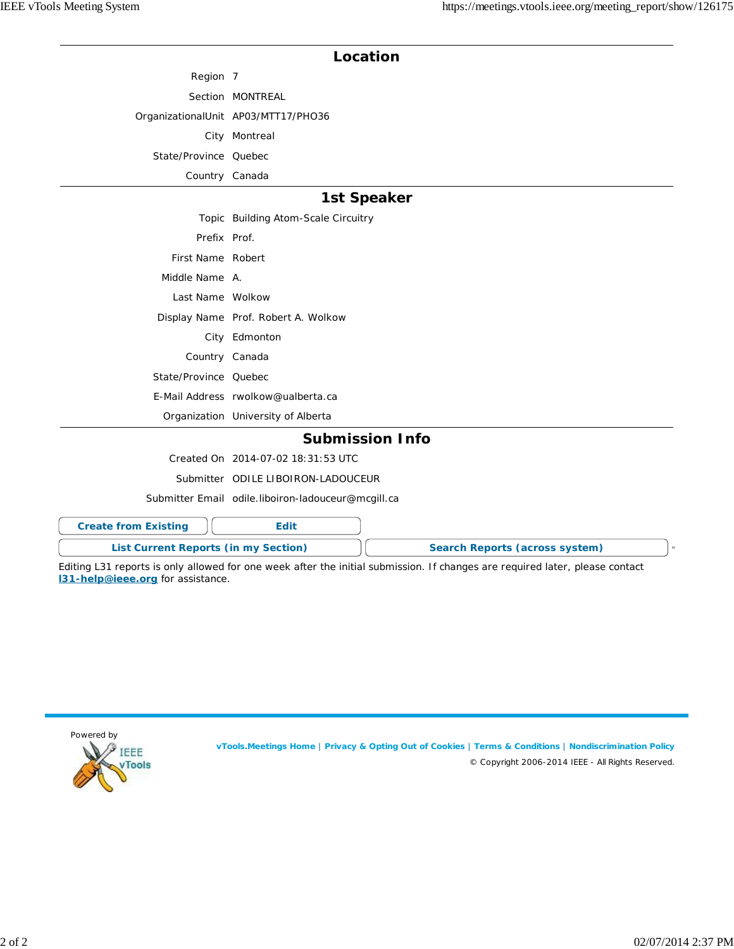## **Location**

Region 7 Section MONTREAL OrganizationalUnit AP03/MTT17/PHO36 City Montreal State/Province Quebec

Country Canada

## **1st Speaker**

|                       | Topic Building Atom-Scale Circuitry |
|-----------------------|-------------------------------------|
| Prefix Prof.          |                                     |
| First Name Robert     |                                     |
| Middle Name A.        |                                     |
| Last Name Wolkow      |                                     |
|                       | Display Name Prof. Robert A. Wolkow |
|                       | City Edmonton                       |
| Country Canada        |                                     |
| State/Province Quebec |                                     |
|                       | E-Mail Address rwolkow@ualberta.ca  |
|                       | Organization University of Alberta  |

### **Submission Info**

Created On 2014-07-02 18:31:53 UTC

Submitter ODILE LIBOIRON-LADOUCEUR

Submitter Email odile.liboiron-ladouceur@mcgill.ca

| <b>Create from Existing</b> |                                      |                                |  |
|-----------------------------|--------------------------------------|--------------------------------|--|
|                             | List Current Reports (in my Section) | Search Reports (across system) |  |

Editing L31 reports is only allowed for one week after the initial submission. If changes are required later, please contact **l31-help@ieee.org** for assistance.



**vTools.Meetings Home** | **Privacy & Opting Out of Cookies** | **Terms & Conditions** | **Nondiscrimination Policy** © Copyright 2006-2014 IEEE - All Rights Reserved.